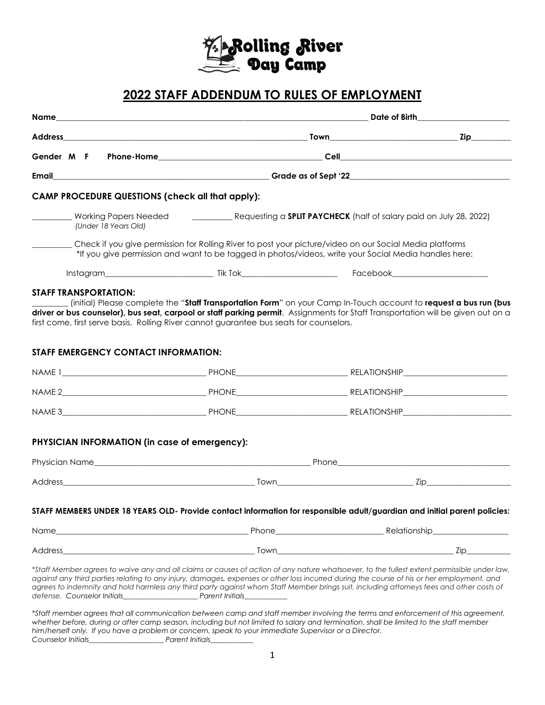

# **2022 STAFF ADDENDUM TO RULES OF EMPLOYMENT**

|                                                                                                                                                                                                                                                                                                                                                                                                                                       |                                                                                                                                                                                                                  | Date of Birth the contract of the contract of the contract of the contract of the contract of the contract of the contract of the contract of the contract of the contract of the contract of the contract of the contract of |  |  |
|---------------------------------------------------------------------------------------------------------------------------------------------------------------------------------------------------------------------------------------------------------------------------------------------------------------------------------------------------------------------------------------------------------------------------------------|------------------------------------------------------------------------------------------------------------------------------------------------------------------------------------------------------------------|-------------------------------------------------------------------------------------------------------------------------------------------------------------------------------------------------------------------------------|--|--|
|                                                                                                                                                                                                                                                                                                                                                                                                                                       |                                                                                                                                                                                                                  |                                                                                                                                                                                                                               |  |  |
|                                                                                                                                                                                                                                                                                                                                                                                                                                       |                                                                                                                                                                                                                  |                                                                                                                                                                                                                               |  |  |
| Email                                                                                                                                                                                                                                                                                                                                                                                                                                 |                                                                                                                                                                                                                  |                                                                                                                                                                                                                               |  |  |
| <b>CAMP PROCEDURE QUESTIONS (check all that apply):</b>                                                                                                                                                                                                                                                                                                                                                                               |                                                                                                                                                                                                                  |                                                                                                                                                                                                                               |  |  |
| Working Papers Needed<br>(Under 18 Years Old)                                                                                                                                                                                                                                                                                                                                                                                         | Requesting a <b>SPLIT PAYCHECK</b> (half of salary paid on July 28, 2022)                                                                                                                                        |                                                                                                                                                                                                                               |  |  |
|                                                                                                                                                                                                                                                                                                                                                                                                                                       | Check if you give permission for Rolling River to post your picture/video on our Social Media platforms<br>*If you give permission and want to be tagged in photos/videos, write your Social Media handles here: |                                                                                                                                                                                                                               |  |  |
|                                                                                                                                                                                                                                                                                                                                                                                                                                       |                                                                                                                                                                                                                  |                                                                                                                                                                                                                               |  |  |
| STAFF EMERGENCY CONTACT INFORMATION:                                                                                                                                                                                                                                                                                                                                                                                                  |                                                                                                                                                                                                                  |                                                                                                                                                                                                                               |  |  |
|                                                                                                                                                                                                                                                                                                                                                                                                                                       |                                                                                                                                                                                                                  |                                                                                                                                                                                                                               |  |  |
|                                                                                                                                                                                                                                                                                                                                                                                                                                       |                                                                                                                                                                                                                  |                                                                                                                                                                                                                               |  |  |
|                                                                                                                                                                                                                                                                                                                                                                                                                                       |                                                                                                                                                                                                                  |                                                                                                                                                                                                                               |  |  |
| PHYSICIAN INFORMATION (in case of emergency):                                                                                                                                                                                                                                                                                                                                                                                         |                                                                                                                                                                                                                  |                                                                                                                                                                                                                               |  |  |
|                                                                                                                                                                                                                                                                                                                                                                                                                                       |                                                                                                                                                                                                                  |                                                                                                                                                                                                                               |  |  |
|                                                                                                                                                                                                                                                                                                                                                                                                                                       |                                                                                                                                                                                                                  |                                                                                                                                                                                                                               |  |  |
| STAFF MEMBERS UNDER 18 YEARS OLD- Provide contact information for responsible adult/guardian and initial parent policies:                                                                                                                                                                                                                                                                                                             |                                                                                                                                                                                                                  |                                                                                                                                                                                                                               |  |  |
|                                                                                                                                                                                                                                                                                                                                                                                                                                       |                                                                                                                                                                                                                  |                                                                                                                                                                                                                               |  |  |
|                                                                                                                                                                                                                                                                                                                                                                                                                                       |                                                                                                                                                                                                                  |                                                                                                                                                                                                                               |  |  |
| *Staff Member agrees to waive any and all claims or causes of action of any nature whatsoever, to the fullest extent permissible under law,<br>against any third parties relating to any injury, damages, expenses or other loss incurred during the course of his or her employment, and<br>agrees to indemnity and hold harmless any third party against whom Staff Member brings suit, including attorneys fees and other costs of |                                                                                                                                                                                                                  |                                                                                                                                                                                                                               |  |  |

*\*Staff member agrees that all communication between camp and staff member involving the terms and enforcement of this agreement, whether before, during or after camp season, including but not limited to salary and termination, shall be limited to the staff member him/herself only. If you have a problem or concern, speak to your immediate Supervisor or a Director. Counselor Initials\_\_\_\_\_\_\_\_\_\_\_\_\_\_\_\_\_\_\_\_\_ Parent Initials\_\_\_\_\_\_\_\_\_\_\_\_*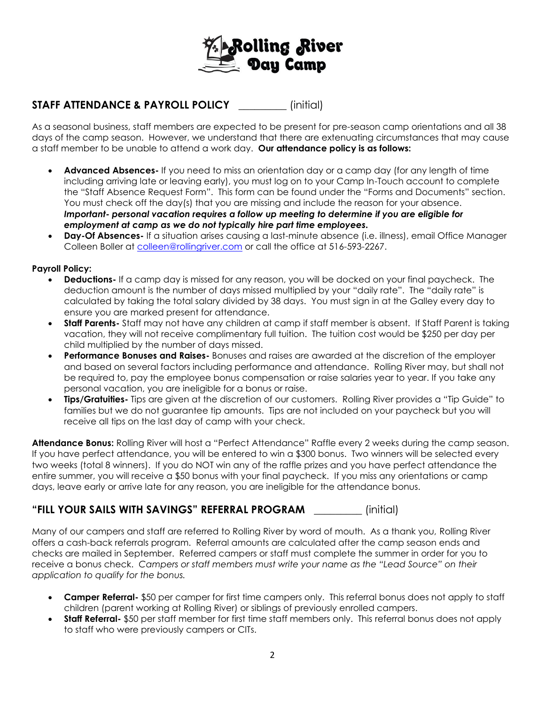

# **STAFF ATTENDANCE & PAYROLL POLICY** \_\_\_\_\_\_\_\_\_ (initial)

As a seasonal business, staff members are expected to be present for pre-season camp orientations and all 38 days of the camp season. However, we understand that there are extenuating circumstances that may cause a staff member to be unable to attend a work day. **Our attendance policy is as follows:**

- **Advanced Absences-** If you need to miss an orientation day or a camp day (for any length of time including arriving late or leaving early), you must log on to your Camp In-Touch account to complete the "Staff Absence Request Form". This form can be found under the "Forms and Documents" section. You must check off the day(s) that you are missing and include the reason for your absence. *Important- personal vacation requires a follow up meeting to determine if you are eligible for employment at camp as we do not typically hire part time employees.*
- **Day-Of Absences-** If a situation arises causing a last-minute absence (i.e. illness), email Office Manager Colleen Boller at [colleen@rollingriver.com](mailto:colleen@rollingriver.com) or call the office at 516-593-2267.

#### **Payroll Policy:**

- **Deductions-** If a camp day is missed for any reason, you will be docked on your final paycheck. The deduction amount is the number of days missed multiplied by your "daily rate". The "daily rate" is calculated by taking the total salary divided by 38 days.You must sign in at the Galley every day to ensure you are marked present for attendance.
- **Staff Parents-** Staff may not have any children at camp if staff member is absent. If Staff Parent is taking vacation, they will not receive complimentary full tuition. The tuition cost would be \$250 per day per child multiplied by the number of days missed.
- **Performance Bonuses and Raises-** Bonuses and raises are awarded at the discretion of the employer and based on several factors including performance and attendance. Rolling River may, but shall not be required to, pay the employee bonus compensation or raise salaries year to year. If you take any personal vacation, you are ineligible for a bonus or raise.
- **Tips/Gratuities-** Tips are given at the discretion of our customers. Rolling River provides a "Tip Guide" to families but we do not guarantee tip amounts. Tips are not included on your paycheck but you will receive all tips on the last day of camp with your check.

**Attendance Bonus:** Rolling River will host a "Perfect Attendance" Raffle every 2 weeks during the camp season. If you have perfect attendance, you will be entered to win a \$300 bonus. Two winners will be selected every two weeks (total 8 winners). If you do NOT win any of the raffle prizes and you have perfect attendance the entire summer, you will receive a \$50 bonus with your final paycheck. If you miss any orientations or camp days, leave early or arrive late for any reason, you are ineligible for the attendance bonus.

## **"FILL YOUR SAILS WITH SAVINGS" REFERRAL PROGRAM** \_\_\_\_\_\_\_\_\_ (initial)

Many of our campers and staff are referred to Rolling River by word of mouth. As a thank you, Rolling River offers a cash-back referrals program. Referral amounts are calculated after the camp season ends and checks are mailed in September. Referred campers or staff must complete the summer in order for you to receive a bonus check. *Campers or staff members must write your name as the "Lead Source" on their application to qualify for the bonus.*

- **Camper Referral-** \$50 per camper for first time campers only. This referral bonus does not apply to staff children (parent working at Rolling River) or siblings of previously enrolled campers.
- **Staff Referral-** \$50 per staff member for first time staff members only. This referral bonus does not apply to staff who were previously campers or CITs.